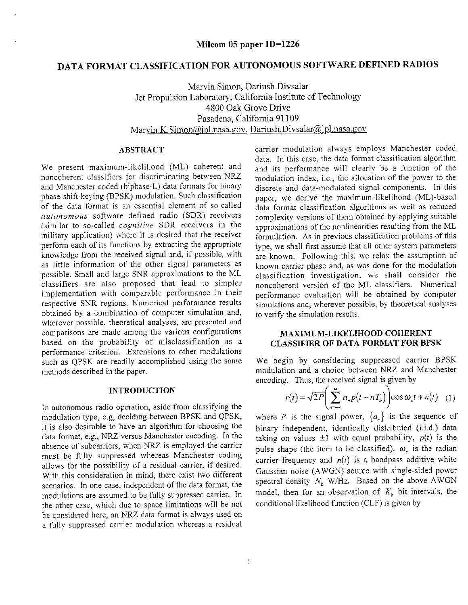# DATA FORMAT CLASSIFICATION FOR AUTONOMOUS SOFTWARE DEFINED RADIOS

Marvin Simon, Dariush Divsalar Jet Propulsion Laboratory, California Institute of Technology 4800 Oak Grove Drive Pasadena, California 91109 Marvin.K.Simon@jpl.nasa.gov, Dariush.Divsalar@jpl.nasa.gov

#### **ABSTRACT**

We present maximum-likelihood (ML) coherent and noncoherent classifiers for discriminating between NRZ and Manchester coded (biphase-L) data formats for binary phase-shift-keying (BPSK) modulation. Such classification of the data format is an essential element of so-called *autonomous* software defined radio (SDR) receivers (similar to so-called *cognitive* SDR receivers in the military application) where it is desired that the receiver perform each of its functions by extracting the appropriate knowledge from the received signal and, if possible, with as little information of the other signal parameters as possible. Small and large SNR approximations to the ML classifiers are also proposed that lead to simpler implementation with comparable performance in their respective SNR regions. Numerical performance results obtained by a combination of computer simulation and, wherever possible, theoretical analyses, are presented and comparisons are made among the various configurations based on the probability of misclassification as a performance criterion. Extensions to other modulations such as QPSK are readily accomplished using the same methods described in the paper.

# **INTRODUCTION**

In autonomous radio operation, aside from classifying the modulation type, e.g, deciding between BPSK and QPSK, it is also desirable to have an algorithm for choosing the data format, e.g., NRZ versus Manchester encoding. In the absence of subcarriers, when NRZ is employed the carrier must be fully suppressed whereas Manchester coding allows for the possibility of a residual carrier, if desired. With this consideration in mind, there exist two different scenarios. In one case, independent of the data format, the modulations are assumed to be fully suppressed carrier. In the other case, which due to space limitations will be not be considered here, an NRZ data format is always used on a fully suppressed carrier modulation whereas a residual

carrier modulation always employs Manchester coded data. In this case, the data format classification algorithm and its performance will clearly be a function of the moduiation index, i.e., the aIlocation of the power to the discrete and data-modulated signal components. In this paper, we derive the maximum-Iikelihood (ML)-based data format classification algorithms as well as reduced complexity versions of them obtained by applying suitable approximations of the nonlinearities resulting from the ML formulation. As in previous classification problems of this type, we shall first assume that all other system parameters are known. Following this, we relax the assumption of known carrier phase and, as was done for the modulation classification investigation, we shail consider the noncoherent version of the ML classifiers. Numerical performance evaluation will be obtained by computer simulations and, wherever possible, by theoretical analyses to verify the simulation results.

### **MAXIMUM-LIKELIHOOD COHERENT CLASSIFIER OF DATA FORMAT FOR BPSK**

We begin by considering suppressed carrier BPSK modulation and a choice between NRZ and Manchester encoding. Thus, the received signal is given by

$$
r(t) = \sqrt{2P} \left( \sum_{n=-\infty}^{\infty} a_n p(t - nT_b) \right) \cos \omega_c t + n(t) \quad (1)
$$

where P is the signal power,  $\{a_n\}$  is the sequence of binary independent, identically distributed (i.i.d.) data taking on values  $\pm 1$  with equal probability,  $p(t)$  is the pulse shape (the item to be classified),  $\omega_c$  is the radian carrier frequency and  $n(t)$  is a bandpass additive white Gaussian noise (AWGN) source with single-sided power spectral density  $N_0$  W/Hz. Based on the above AWGN model, then for an observation of  $K<sub>k</sub>$  bit intervals, the conditional likelihood function (CLF) is given by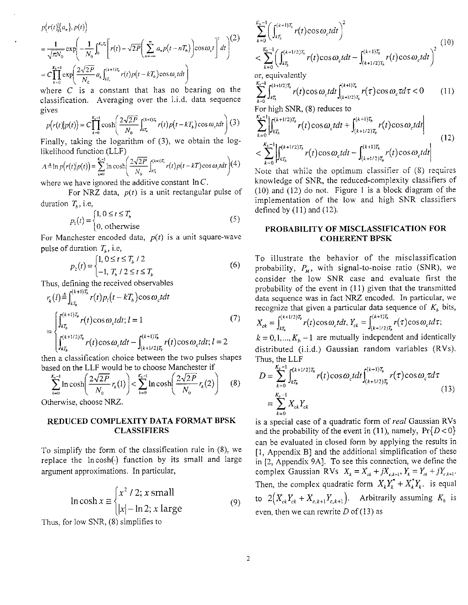$$
p(r(t)|\{a_n\}, p(t))
$$
  
=  $\frac{1}{\sqrt{\pi N_0}} \exp\left(-\frac{1}{N_0} \int_0^{K_b T_b} \left[r(t) - \sqrt{2P}\left(\sum_{n=-\infty}^{\infty} a_n p(t - nT_b)\right) \cos \omega_c t\right]^2 dt\right)^{1/2}$   
=  $C \prod_{k=0}^{K_b - 1} \exp\left(\frac{2\sqrt{2P}}{N_0} a_k \int_{kT_b}^{(k+1)T_b} r(t) p(t - kT_b) \cos \omega_c t dt\right)$ 

where  $C$  is a constant that has no bearing on the classification. Averaging over the i.i.d. data sequence gives

$$
p(r(t)|p(t)) = C \prod_{k=0}^{K_b-1} \cosh\left(\frac{2\sqrt{2P}}{N_0} \int_{kT_b}^{(k+1)T_b} r(t)p(t-kT_b)\cos\omega_c t dt\right)
$$
(3)

Finally, taking the logarithm of **(3),** we obtain the loglikelihood function (LLF)

$$
A \triangleq \ln p(r(t)|p(t)) = \sum_{k=0}^{K-1} \ln \cosh \left( \frac{2\sqrt{2P}}{N_0} \int_{kT_k}^{(k+1)T_k} r(t) p(t-kT) \cos \omega_t dt \right) (4)
$$

where we have ignored the additive constant  $\ln C$ .

For NRZ data,  $p(t)$  is a unit rectangular pulse of duration  $T<sub>b</sub>$ , i.e,

function 
$$
T_b
$$
, i.e.

\n
$$
p_1(t) = \begin{cases} 1, & 0 \le t \le T_b \\ 0, & \text{otherwise} \end{cases}
$$
\nFor Manchester encoded data.  $p(t)$  is a unit square-wave.

pulse of duration  $T<sub>b</sub>$ , i.e,

$$
p_2(t) = \begin{cases} 1, & 0 \le t \le T_b / 2 \\ -1, & T_b / 2 \le t \le T_b \end{cases}
$$
 (6)

Thus, defining the received observables

$$
r_{k}(l) \triangleq \int_{kT_{b}}^{(k+1)T_{b}} r(t) p_{i}(t - kT_{b}) \cos \omega_{c} t dt
$$
  
= 
$$
\begin{cases} \int_{kT_{b}}^{(k+1)T_{b}} r(t) \cos \omega_{c} t dt; l = 1\\ \int_{kT_{b}}^{(k+1)T_{b}} r(t) \cos \omega_{c} t dt - \int_{(k+1/2)T_{b}}^{(k+1)T_{b}} r(t) \cos \omega_{c} t dt; l = 2 \end{cases}
$$
(7)

then a classification choice between the two pulses shapes based on the LLF would be to choose Manchester if

$$
\sum_{k=0}^{K_n-1} \ln \cosh \left( \frac{2\sqrt{2P}}{N_0} r_k(1) \right) < \sum_{k=0}^{K_n-1} \ln \cosh \left( \frac{2\sqrt{2P}}{N_0} r_k(2) \right) \tag{8}
$$

Othenvise, choose NRZ.

# **REDUCED COMPLEXITY DATA FORMAT BPSK CLASSIFIERS**

To simplify the form of the classification rule in **(8),** we replace the  $ln \cosh(\cdot)$  function by its small and large argument approximations. In particular,

$$
\ln \cosh x \approx \begin{cases} x^2 / 2; x \text{ small} \\ |x| - \ln 2; x \text{ large} \end{cases}
$$
(9)

Thus, for low SNR, (8) simpIifies to

$$
\sum_{k=0}^{K_h-1} \left( \int_{kT_b}^{(k+1)T_b} r(t) \cos \omega_c t dt \right)^2
$$
\n
$$
< \sum_{k=0}^{K_b-1} \left( \int_{kT_b}^{(k+1/2)T_b} r(t) \cos \omega_c t dt - \int_{(k+1/2)T_b}^{(k+1)T_b} r(t) \cos \omega_c t dt \right)^2
$$
\n(10)

or, equivalently

$$
\sum_{k=0}^{K_b-1} \int_{kT_b}^{(k+1/2)T_b} r(t) \cos \omega_c t dt \int_{(k+1/2)T_b}^{(k+1)T_b} r(\tau) \cos \omega_c \tau d\tau < 0 \qquad (11)
$$

For high SNR, (8) reduces to

$$
\sum_{k=0}^{K_b-1} \left| \int_{kT_b}^{(k+1/2)T_b} r(t) \cos \omega_c t dt + \int_{(k+1/2)T_b}^{(k+1)T_b} r(t) \cos \omega_c t dt \right|
$$
  

$$
< \sum_{k=0}^{K_b-1} \left| \int_{kT_b}^{(k+1/2)T_b} r(t) \cos \omega_c t dt - \int_{(k+1/2)T_b}^{(k+1)T_b} r(t) \cos \omega_c t dt \right|
$$
(12)

Note rhai whiie the optimum classifier of (8) requires knowledge of SNR, the reduced-complexity classifiers of (10) and (12) do not. Figure 1 is a block diagram of the implementation of the low and high SNR classifiers defined by  $(11)$  and  $(12)$ .

# **PROBABILITY OF MISCLASSIFICATION FOR COHERENT BPSK**

To illustrate the behavior of the misclassification probability,  $P_M$ , with signal-to-noise ratio (SNR), we consider the low SNR case and evaluate first the probability of the event in **(1** I) given that the transmitted data sequence was in fact NRZ encoded. In particular, we recognize that given a particular data sequence of *K,* bits,

$$
X_{ck} = \int_{kT_b}^{(k+1/2)T_b} r(t) \cos \omega_c t dt, Y_{ck} = \int_{(k+1/2)T_b}^{(k+1)T_b} r(\tau) \cos \omega_c t d\tau;
$$

 $k = 0, 1, \dots, K<sub>b</sub> - 1$  are mutually independent and identically distributed (i.i.d.) Gaussian random variables (RVs). Thus, the LLF

$$
D = \sum_{k=0}^{K_b - 1} \int_{kT_b}^{(k+1/2)T_b} r(t) \cos \omega_c t dt \int_{(k+1/2)T_b}^{(k+1)T_b} r(\tau) \cos \omega_c \tau d\tau
$$
  
= 
$$
\sum_{k=0}^{K_b - 1} X_{ck} Y_{ck}
$$
 (13)

is a special case of a quadratic form of *real* Gaussian RVs and the probability of the event in (11), namely,  $Pr\{D < 0\}$ can be evaluated in closed form by applying the results in [I, Appendix B] and the additional simplification of these in [2, Appendix **9A].** To see this connection, we define the complex Gaussian RVs  $X_k = X_{ck} + jX_{c,k+1}, Y_k = Y_{ck} + jY_{c,k+1}.$ Then, the complex quadratic form  $X_k Y_k^* + X_k^* Y_k$ . is equal to  $2(X_{ck}Y_{ck} + X_{c,k+1}Y_{c,k+1})$ . Arbitrarily assuming  $K_b$  is even, then we can rewrite  $D$  of (13) as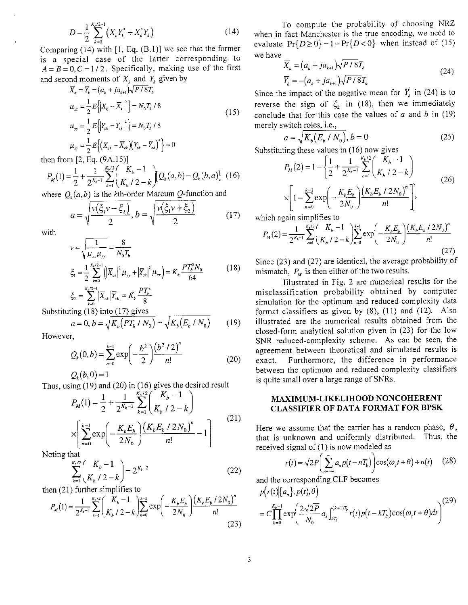$$
D = \frac{1}{2} \sum_{k=0}^{K_k/2-1} \left( X_k Y_k^* + X_k^* Y_k \right) \tag{14}
$$

Comparing (14) with [I, Eq. (B.l)] we see that the former is a special case of the latter corresponding to  $A = B = 0, C = 1/2$ . Specifically, making use of the first and second moments of  $X_k$  and  $Y_k$  given by

$$
\overline{X}_k = \overline{Y}_k = (a_k + ja_{k+1})\sqrt{P/8T_b}
$$
\n
$$
\mu_{xx} = \frac{1}{2}E\left\{\left|X_k - \overline{X}_k\right|^2\right\} = N_0T_b/8
$$
\n
$$
\mu_{yy} = \frac{1}{2}E\left\{\left|Y_{ck} - \overline{Y}_{ck}\right|^2\right\} = N_0T_b/8
$$
\n
$$
\mu_{xy} = \frac{1}{2}E\left\{\left(X_{ck} - \overline{X}_{ck}\right)\left(Y_{ck} - \overline{Y}_{ck}\right)^*\right\} = 0
$$
\n(15)

then from  $[2, Eq. (9A.15)]$ 

$$
P_M(1) = \frac{1}{2} + \frac{1}{2^{K_b - 1}} \sum_{k=1}^{K_b - 2} \binom{K_b - 1}{K_b - 2 - k} Q_k(a, b) - Q_k(b, a) \tag{16}
$$

where  $Q<sub>k</sub>(a,b)$  is the kth-order Marcum Q-function and

$$
a = \sqrt{\frac{v(\xi_1 v - \xi_2)}{2}}, b = \sqrt{\frac{v(\xi_1 v + \xi_2)}{2}} \tag{17}
$$

with

$$
\nu = \sqrt{\frac{1}{\mu_{xx}\mu_{yy}}} = \frac{8}{N_0 T_b}
$$
  
\n
$$
\xi_1 = \frac{1}{2} \sum_{k=0}^{K_b/2-1} \left( \left| \overline{X}_{ck} \right|^2 \mu_{yy} + \left| \overline{Y}_{ck} \right|^2 \mu_{xx} \right) = K_b \frac{PT_b^3 N_0}{64}
$$
(18)  
\n
$$
\xi_2 = \sum_{k=0}^{K_b/2-1} \left| \overline{X}_{ck} \right| \left| \overline{Y}_{ck} \right| = K_b \frac{PT_b^2}{8}
$$

Substituting  $(18)$  into  $(17)$  gives

$$
a = 0, b = \sqrt{K_b(PT_b / N_0)} = \sqrt{K_b(E_b / N_0)}
$$
(19)

However,

$$
Q_k(0,b) = \sum_{n=0}^{k-1} \exp\left(-\frac{b^2}{2}\right) \frac{\left(b^2/2\right)^n}{n!}
$$
 (20)

 $Q_{\mu}(b,0) = 1$ 

Thus, using  $(19)$  and  $(20)$  in  $(16)$  gives the desired result

$$
P_M(1) = \frac{1}{2} + \frac{1}{2^{K_b - 1}} \sum_{k=1}^{K_b - 1} \binom{K_b - 1}{K_b / 2 - k}
$$
  
 
$$
\times \left[ \sum_{n=0}^{k-1} \exp\left(-\frac{K_b E_b}{2N_0}\right) \frac{\left(K_b E_b / 2N_0\right)^n}{n!} - 1 \right]
$$
(21)

Noting that

$$
\sum_{k=1}^{K_b/2} \binom{K_b - 1}{K_b / 2 - k} = 2^{K_b - 2} \tag{22}
$$

then  $(21)$  further simplifies to

$$
P_{M}(1) = \frac{1}{2^{K_b - 1}} \sum_{k=1}^{K_b/2} \binom{K_b - 1}{K_b / 2 - k} \sum_{n=0}^{k-1} \exp\left(-\frac{K_b E_b}{2N_0}\right) \frac{\left(K_b E_b / 2N_0\right)^n}{n!}
$$
\n(23)

To compute the probability of choosing NRZ when in fact Manchester is the true encoding, we need to when in fact Manchester is the true encoding, we need to valuate  $Pr\{D \ge 0\} = 1 - Pr\{D < 0\}$  when instead of (15) we have

$$
\Pr\{D \ge 0\} = 1 - \Pr\{D < 0\} \quad \text{when instead of (13)}\n\overline{X}_k = (a_k + ja_{k+1})\sqrt{P/S}T_k
$$
\n
$$
\overline{Y}_k = -(a_k + ja_{k+1})\sqrt{P/S}T_k
$$
\n(24)

Since the impact of the negative mean for  $\overline{Y}_k$  in (24) is to reverse the sign of  $\xi_2$  in (18), then we immediately conclude that for this case the values of  $a$  and  $b$  in (19) merely switch roIes, i.e.,

$$
a = \sqrt{K_b(E_b/N_0)}, b = 0
$$
 (25)

Substituting these values in (16) now gives

$$
P_M(2) = 1 - \left\{ \frac{1}{2} + \frac{1}{2^{K_b - 1}} \sum_{k=1}^{K_b / 2} \binom{K_b - 1}{K_b / 2 - k} \right\}
$$
  
 
$$
\times \left[ 1 - \sum_{n=0}^{K - 1} \exp\left( -\frac{K_b E_b}{2N_0} \right) \frac{\left( K_b E_b / 2N_0 \right)^n}{n!} \right] \right\}
$$
(26)

which again simplifies to

$$
P_M(2) = \frac{1}{2^{K_b - 1}} \sum_{k=1}^{K_b/2} \binom{K_b - 1}{K_b / 2 - k} \sum_{n=0}^{k-1} \exp\left(-\frac{K_b E_b}{2N_0}\right) \frac{\left(K_b E_b / 2N_0\right)^n}{n!}
$$
\n(27)

Since (23) and (27) are identical, the average probability of mismatch,  $P_M$  is then either of the two results.

Illustrated in Fig. 2 are numerical results for the misclassification probability obtained by computer simulation for the optimum and reduced-complexity data format classifiers as given by  $(8)$ ,  $(11)$  and  $(12)$ . Also illustrated are the numerical results obtained from the closed-form analytical solution given in (23) for the low SNR reduced-complexity scheme. As can be seen, the agreement between theoretical and simulated results is exact. Furthermore, the difference in performance between the optimum and reduced-complexity classifiers is quite small over a large range of SNRs.

# MAXIMUM-LIKELIHOOD NONCOHERENT CLASSIFIER OF DATA FORMAT FOR BPSK

Here we assume that the carrier has a random phase,  $\theta$ , that is unknown and uniformly distributed. Thus, the received signal of **(1** ) is now modeled as

$$
r(t) = \sqrt{2P} \left( \sum_{n=-\infty}^{\infty} a_n p(t - nT_b) \right) \cos(\omega_c t + \theta) + n(t) \tag{28}
$$

and the corresponding CLF becomes

$$
p(r(t)|\{a_n\}, p(t), \theta)
$$
  
= 
$$
C \prod_{k=0}^{K_b-1} \exp \left( \frac{2\sqrt{2P}}{N_0} a_k \int_{kT_b}^{(k+1)T_b} r(t) p(t - kT_b) \cos(\omega_c t + \theta) dt \right)^{(29)}
$$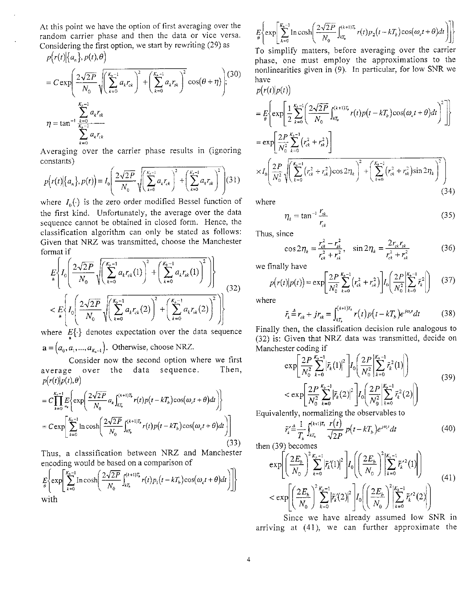At this point we have the option of first averaging over the random carrier phase and then the data or vice versa. Considering the first option, we start by rewriting (29) as  $p(r(t)|\{a_n\}, p(t), \theta)$ 

$$
= C \exp \left( \frac{2\sqrt{2P}}{N_0} \sqrt{\left( \sum_{k=0}^{K_b-1} a_k r_{ck} \right)^2 + \left( \sum_{k=0}^{K_b-1} a_k r_{sk} \right)^2} \cos(\theta + \eta) \right);
$$
\n
$$
\eta = \tan^{-1} \frac{\sum_{k=0}^{K_b-1} a_k r_{sk}}{\sum_{k=0}^{K_b-1} a_k r_{ck}}
$$

Averaging over the carrier phase results in (ignoring constants)

$$
p(r(t)|\{a_n\}, p(t)) = I_0\left(\frac{2\sqrt{2P}}{N_0}\sqrt{\left(\sum_{k=0}^{K_b-1} a_k r_{ck}\right)^2 + \left(\sum_{k=0}^{K_b-1} a_k r_{sk}\right)^2}\right)(31)
$$

where  $I_0(\cdot)$  is the zero order modified Bessel function of the first kind. Unfortunately, the average over the data sequence cannot be obtained in closed form. Hence, the classification algorithm can only be stated as follows: Given that NRZ was transmitted, choose the Manchester format if

$$
E\left\{I_0\left(\frac{2\sqrt{2P}}{N_0}\sqrt{\left(\sum_{k=0}^{K_b-1}a_kr_{ck}(1)\right)^2+\left(\sum_{k=0}^{K_b-1}a_kr_{sk}(1)\right)^2}\right)\right\}
$$
  

$$
< E\left\{I_0\left(\frac{2\sqrt{2P}}{N_0}\sqrt{\left(\sum_{k=0}^{K_b-1}a_kr_{ck}(2)\right)^2+\left(\sum_{k=0}^{K_b-1}a_kr_{sk}(2)\right)^2}\right)\right\}
$$
(32)

where  $E\{\cdot\}$  denotes expectation over the data sequence  $\mathbf{a} = (a_0, a_1, \dots, a_{K_n-1})$ . Otherwise, choose NRZ.

Consider now the second option where we first average over the data sequence. Then,  $p(r(t)|p(t),\theta)$ 

$$
= C \prod_{k=0}^{K_h-1} E \left\{ \exp \left( \frac{2\sqrt{2P}}{N_0} a_k \int_{kT_k}^{(k+1)T_h} r(t) p(t - kT_b) \cos(\omega_c t + \theta) dt \right) \right\}
$$
  
=  $C \exp \left[ \sum_{k=0}^{K_h-1} \ln \cosh \left( \frac{2\sqrt{2P}}{N_0} \int_{kT_h}^{(k+1)T_h} r(t) p(t - kT_b) \cos(\omega_c t + \theta) dt \right) \right]$  (33)

Thus, a classification between NRZ and Manchester encoding would be based on a comparison of

$$
E\left\{\exp\left[\sum_{k=0}^{K_b-1} \ln \cosh\left(\frac{2\sqrt{2P}}{N_0}\int_{kT_b}^{(k+1)T_b} r(t)p_1(t-kT_b)\cos(\omega_c t+\theta)dt\right)\right]\right\}
$$
 with

$$
E_{\theta}\left\{\exp\left[\frac{K_b-1}{k=0}\ln\cosh\left(\frac{2\sqrt{2P}}{N_0}\int_{kT_b}^{(k+1)T_b}r(t)p_2(t-kT_b)\cos(\omega_ct+\theta)dt\right)\right]\right\}
$$

To simplify matters, before averaging over the carrier phase, one must employ the approximations to the nonlinearities given in (9). In particular, for Iow SNR we have

$$
p(r(t)|p(t))
$$
\n
$$
= E\left\{\exp\left[\frac{1}{2}\sum_{k=0}^{K_b-1} \left(\frac{2\sqrt{2P}}{N_0}\int_{kT_b}^{(k+1)T_b} r(t)p(t-kT_b)\cos(\omega_c t+\theta)dt\right)^2\right]\right\}
$$
\n
$$
= \exp\left[\frac{2P}{N_0^2}\sum_{k=0}^{K_b-1} (r_{ck}^2 + r_{sk}^2)\right]
$$
\n
$$
\times I_0 \left(\frac{2P}{N_0^2}\sqrt{\left(\sum_{k=0}^{K_b-1} (r_{ck}^2 + r_{sk}^2)\cos 2\eta_k\right)^2 + \left(\sum_{k=0}^{K_b-1} (r_{ck}^2 + r_{sk}^2)\sin 2\eta_k\right)^2}\right)
$$
\n(34)

where

$$
\eta_k = \tan^{-1} \frac{r_{sk}}{r_{ck}} \tag{35}
$$

Thus. since

(34)  
\n
$$
\eta_k = \tan^{-1} \frac{r_{sk}}{r_{ck}}
$$
\n(35)  
\n
$$
\cos 2\eta_k = \frac{r_{ck}^2 - r_{sk}^2}{r_{ck}^2 + r_{sk}^2}, \quad \sin 2\eta_k = \frac{2r_{ck}r_{sk}}{r_{ck}^2 + r_{sk}^2}
$$
\n(36)  
\nv have

we finally have

$$
p(r(t)|p(t)) = \exp\left[\frac{2P}{N_0^2} \sum_{k=0}^{K_b-1} (r_{ck}^2 + r_{sk}^2)\right] I_0\left(\frac{2P}{N_0^2} \left|\sum_{k=0}^{K_b-1} \bar{r}_k^2\right|\right) \tag{37}
$$

where

$$
\tilde{r}_k \stackrel{\Delta}{=} r_{ck} + j r_{sk} = \int_{kT_k}^{(k+1)T_k} r(t) p(t - kT_b) e^{j\omega t} dt \tag{38}
$$

Finally then, the classification decision rule analogous to (32) is: Given that NRZ data was transmitted, decide on Manchester coding if

$$
\exp\left[\frac{2P}{N_0^2} \sum_{k=0}^{K_b-1} \left| \tilde{r}_k(1) \right|^2 \right] I_0\left(\frac{2P}{N_0^2} \left| \sum_{k=0}^{K_b-1} \tilde{r}_k^2(1) \right| \right) \n< \exp\left[\frac{2P}{N_0^2} \sum_{k=0}^{K_b-1} \left| \tilde{r}_k(2) \right|^2 \right] I_0\left(\frac{2P}{N_0^2} \left| \sum_{k=0}^{K_b-1} \tilde{r}_k^2(2) \right| \right)
$$
\n(39)

Equivalently, normalizing the observables to

$$
\tilde{r}'_k \stackrel{\text{d}}{=} \frac{1}{T_b} \int_{kT_b}^{(k+1)T_b} \frac{r(t)}{\sqrt{2P}} p(t - kT_b) e^{j\omega_c t} dt \tag{40}
$$

then  $(39)$  becomes

$$
\exp\left[\left(\frac{2E_b}{N_0}\right)^2 \sum_{k=0}^{K_b-1} \left|\tilde{r}_k'(1)\right|^2\right] I_0\left(\left(\frac{2E_b}{N_0}\right)^2 \left|\sum_{k=0}^{K_b-1} \tilde{r}_k'^2(1)\right|\right) \n< \exp\left[\left(\frac{2E_b}{N_0}\right)^2 \sum_{k=0}^{K_b-1} \left|\tilde{r}_k'(2)\right|^2\right] I_0\left(\left(\frac{2E_b}{N_0}\right)^2 \left|\sum_{k=0}^{K_b-1} \tilde{r}_k'^2(2)\right|\right)
$$
\n(41)

Since we have already assumed low SNR in arriving at (41), we can further approximate the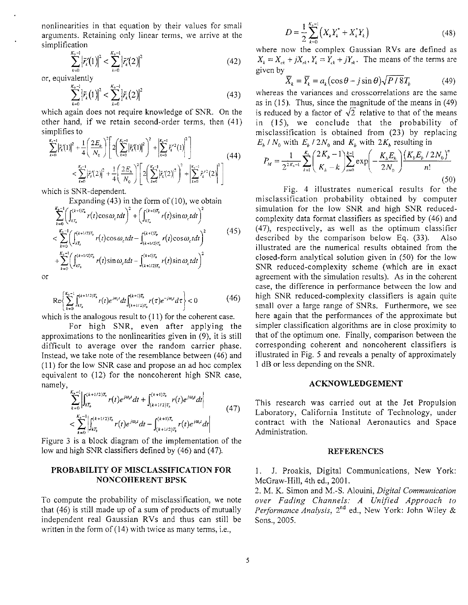nonlinearities in that equation by their values for smali arguments. Retaining only linear terms, we arrive at the simplification

$$
\sum_{k=0}^{K_k-1} |\tilde{r}'_k(1)|^2 < \sum_{k=0}^{K_k-1} |\tilde{r}'_k(2)|^2 \tag{42}
$$

or, equivalently

$$
\sum_{k=0}^{K_{\lambda}-1} \left| \tilde{r}_{k}(1) \right|^{2} < \sum_{k=0}^{K_{\lambda}-1} \left| \tilde{r}_{k}(2) \right|^{2} \tag{43}
$$

which again does not require knowledge of SNR. On the other hand, if we retain second-order terms, then (41) simplifies to

$$
\sum_{k=0}^{K_s-1} \left| \tilde{r}_k'(1) \right|^2 + \frac{1}{4} \left( \frac{2E_b}{N_0} \right)^2 \left[ 2 \left( \sum_{k=0}^{K_s-1} \left| \tilde{r}_k'(1) \right|^2 \right)^2 + \left| \sum_{k=0}^{K_s-1} \tilde{r}_k'^2(1) \right|^2 \right] \n< \sum_{k=0}^{K_s-1} \left| \tilde{r}_k'(2) \right|^2 + \frac{1}{4} \left( \frac{2E_b}{N_0} \right)^2 \left[ 2 \left( \sum_{k=0}^{K_s-1} \left| \tilde{r}_k'(2) \right|^2 \right)^2 + \left| \sum_{k=0}^{K_s-1} \tilde{r}_k'^2(2) \right|^2 \right] \tag{44}
$$

which is SNR-dependent.

Expanding  $(43)$  in the form of  $(10)$ , we obtain

$$
\sum_{k=0}^{K_b-1} \left( \int_{kT_b}^{(k+1)T_b} r(t) \cos \omega_c t dt \right)^2 + \left( \int_{kT_b}^{(k+1)T_b} r(t) \sin \omega_c t dt \right)^2
$$
  

$$
< \sum_{k=0}^{K_b-1} \left( \int_{kT_b}^{(k+1/2)T_b} r(t) \cos \omega_c t dt - \int_{(k+1/2)T_b}^{(k+1)T_b} r(t) \cos \omega_c t dt \right)^2
$$
  
+ 
$$
\sum_{k=0}^{K_b-1} \left( \int_{kT_b}^{(k+1/2)T_b} r(t) \sin \omega_c t dt - \int_{(k+1/2)T_b}^{(k+1)T_b} r(t) \sin \omega_c t dt \right)^2
$$
 (45)

or

$$
\operatorname{Re}\left\{\sum_{k=0}^{K_b-1} \int_{kT_b}^{(k+1/2)T_b} r(t)e^{j\omega_c t} dt \int_{(k+1/2)T_b}^{(k+1)T_b} r(\tau)e^{-j\omega_c t} d\tau \right\} < 0
$$
 (46)

which is the analogous result to (11) for the coherent case.

For high SNR, even after applying the approximations to the nonlinearities given in (9), it is still difficult to average over the random carrier phase. Instead, we take note of the resemblance between (46) and (11) for the low SNR case and propose an ad hoc complex equivalent to (12) for the noncoherent high SNR case, namely,

$$
\sum_{k=0}^{K_{k}-1} \left| \int_{kT_{b}}^{(k+1/2)T_{b}} r(t) e^{j\omega_{c}t} dt + \int_{(k+1/2)T_{b}}^{(k+1)T_{b}} r(t) e^{j\omega_{c}t} dt \right|
$$
\n
$$
< \sum_{k=0}^{K_{b}-1} \left| \int_{kT_{b}}^{(k+1/2)T_{b}} r(t) e^{j\omega_{c}t} dt - \int_{(k+1/2)T_{b}}^{(k+1)T_{b}} r(t) e^{j\omega_{c}t} dt \right|
$$
\n(47)

Figure **3** is a block diagram of the implementation of the low and high SNR classifiers defined by (46) and (47).

### **PROBABILITY OF MISCLASSIFICATION FOR NONCOHERENT BPSK**

To compute the probability of misclassification, we note that (46) is still made up of a sum of products of mutually independent real Gaussian RVs and thus can still be written in the form of (14) with twice as many terms, i.e.,

$$
D = \frac{1}{2} \sum_{k=0}^{K_{k}-1} \left( X_{k} Y_{k}^{*} + X_{k}^{*} Y_{k} \right)
$$
 (48)

where now the complex Gaussian RVs are defined as  $X_k = X_{ck} + jX_{sk}$ ,  $Y_k = Y_{ck} + jY_{sk}$ . The means of the terms are given by

$$
\overline{X}_k = \overline{Y}_k = a_k (\cos \theta - j \sin \theta) \sqrt{P / 8} T_b \tag{49}
$$

whereas the variances and crosscorrelations are the same as in (15). Thus, since the magnitude of the means in (49) is reduced by a factor of  $\sqrt{2}$  relative to that of the means in **(15),** we conclude that the probability of misclassification is obtained from (23) by replacing  $E_b$  /  $N_0$  with  $E_b$  /  $2N_0$  and  $K_b$  with  $2K_b$  resulting in

$$
P_M = \frac{1}{2^{2K_b - 1}} \sum_{k=1}^{K_b} \binom{2K_b - 1}{K_b - k} \sum_{n=0}^{k-1} \exp\left(-\frac{K_b E_b}{2N_0}\right) \frac{\left(K_b E_b / 2N_0\right)^n}{n!} \tag{50}
$$

Fig. 4 illustrates numericaI results for the misclassification probability obtained by computer simulation for the low SNR and high SNR reducedcomplexity data format classifiers as specified by (46) and (47), respectively, as well as the optimum classifier described by the comparison below Eq. **(33).** Also illustrated are the numerical results obtained from the closed-form analytical solution given in (50) for the low SNR reduced-complexity scheme (which are in exact agreement with the simulation results). As in the coherent case, the difference in performance between the low and high SNR reduced-complexity classifiers is again quite small over a large range of SNRs. Furthermore, we see here again that the performances of the approximate but simpler classification algorithms are in close proximity to that of the optimum one. Finally, comparison between the corresponding coherent and noncoherent classifiers is illustrated in Fig. *5* and reveals a penalty of approximately 1 dB or less depending on the SNR.

#### **ACKNOWLEDGEMENT**

This research was carried out at the Jet Propulsion Laboratory, California Institute of Technology, under contract with the National Aeronautics and Space Administration.

#### **REFERENCES**

1. J. Proakis, Digital Communications, New York: McGraw-Hill, 4th ed., *2001.* 

2. M. *K.* Simon and M.-S. Alouini, **Digital** *Communication over Fading Channels: A Unified Approach to Performance* Analysis, 2nd ed., New York: John Wiley & Sons., 2005.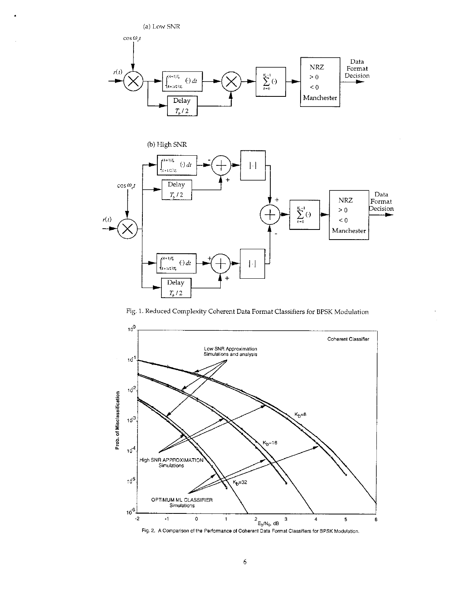(a) Low SNR





Fig. 1. Reduced Complexity Coherent Data Format Classifiers for BPSK Modulation